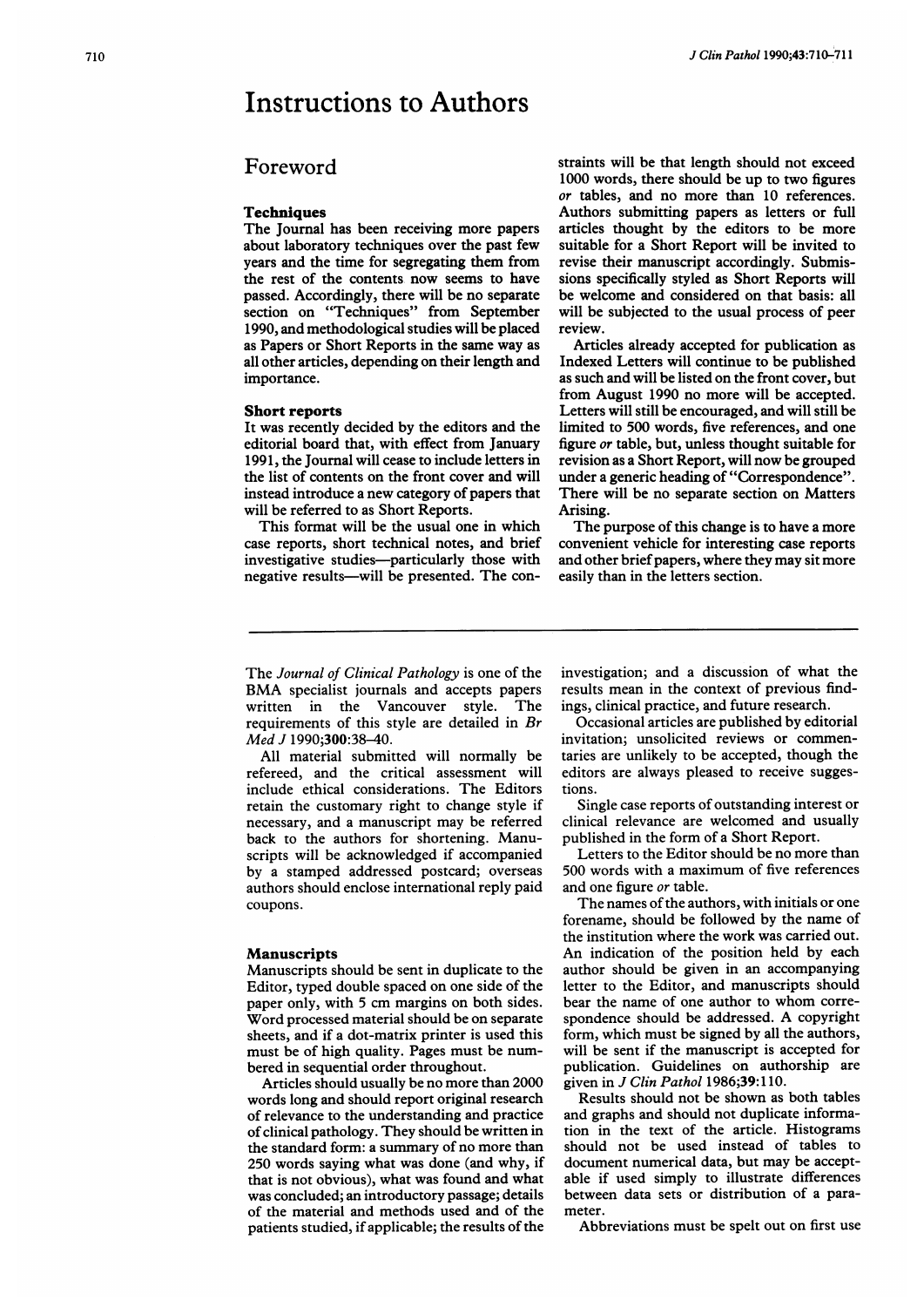# Instructions to Authors

# Foreword

# **Techniques**

The Journal has been receiving more papers about laboratory techniques over the past few years and the time for segregating them from the rest of the contents now seems to have passed. Accordingly, there will be no separate section on "Techniques" from September 1990, and methodological studies will be placed as Papers or Short Reports in the same way as all other articles, depending on their length and importance.

#### Short reports

It was recently decided by the editors and the editorial board that, with effect from January 1991, the Journal will cease to include letters in the list of contents on the front cover and will instead introduce a new category of papers that will be referred to as Short Reports.

This format will be the usual one in which case reports, short technical notes, and brief investigative studies-particularly those with negative results--will be presented. The constraints will be that length should not exceed 1000 words, there should be up to two figures or tables, and no more than 10 references. Authors submitting papers as letters or full articles thought by the editors to be more suitable for a Short Report will be invited to revise their manuscript accordingly. Submissions specifically styled as Short Reports will be welcome and considered on that basis: all will be subjected to the usual process of peer review.

Articles already accepted for publication as Indexed Letters will continue to be published as such and will be listed on the front cover, but from August 1990 no more will be accepted. Letters will still be encouraged, and will still be limited to 500 words, five references, and one figure or table, but, unless thought suitable for revision as <sup>a</sup> Short Report, will now be grouped under a generic heading of "Correspondence". There will be no separate section on Matters Arising.

The purpose of this change is to have a more convenient vehicle for interesting case reports and other brief papers, where they may sit more easily than in the letters section.

The Journal of Clinical Pathology is one of the BMA specialist journals and accepts papers<br>written in the Vancouver style. The written in the Vancouver style. requirements of this style are detailed in Br Med J 1990;**300**:38–40.

All material submitted will normally be refereed, and the critical assessment will include ethical considerations. The Editors retain the customary right to change style if necessary, and a manuscript may be referred back to the authors for shortening. Manuscripts will be acknowledged if accompanied by a stamped addressed postcard; overseas authors should enclose international reply paid coupons.

#### Manuscripts

Manuscripts should be sent in duplicate to the Editor, typed double spaced on one side of the paper only, with <sup>5</sup> cm margins on both sides. Word processed material should be on separate sheets, and if a dot-matrix printer is used this must be of high quality. Pages must be numbered in sequential order throughout.

Articles should usually be no more than 2000 words long and should report original research of relevance to the understanding and practice of clinical pathology. They should be written in the standard form: a summary of no more than 250 words saying what was done (and why, if that is not obvious), what was found and what was concluded; an introductory passage; details of the material and methods used and of the patients studied, if applicable; the results of the investigation; and a discussion of what the results mean in the context of previous findings, clinical practice, and future research.

Occasional articles are published by editorial invitation; unsolicited reviews or commentaries are unlikely to be accepted, though the editors are always pleased to receive suggestions.

Single case reports of outstanding interest or clinical relevance are welcomed and usually published in the form of a Short Report.

Letters to the Editor should be no more than 500 words with <sup>a</sup> maximum of five references and one figure or table.

The names of the authors, with initials or one forename, should be followed by the name of the institution where the work was carried out. An indication of the position held by each author should be given in an accompanying letter to the Editor, and manuscripts should bear the name of one author to whom correspondence should be addressed. A copyright form, which must be signed by all the authors, will be sent if the manuscript is accepted for publication. Guidelines on authorship are given in *J Clin Pathol* 1986;39:110.

Results should not be shown as both tables and graphs and should not duplicate information in the text of the article. Histograms should not be used instead of tables to document numerical data, but may be acceptable if used simply to illustrate differences between data sets or distribution of a parameter.

Abbreviations must be spelt out on first use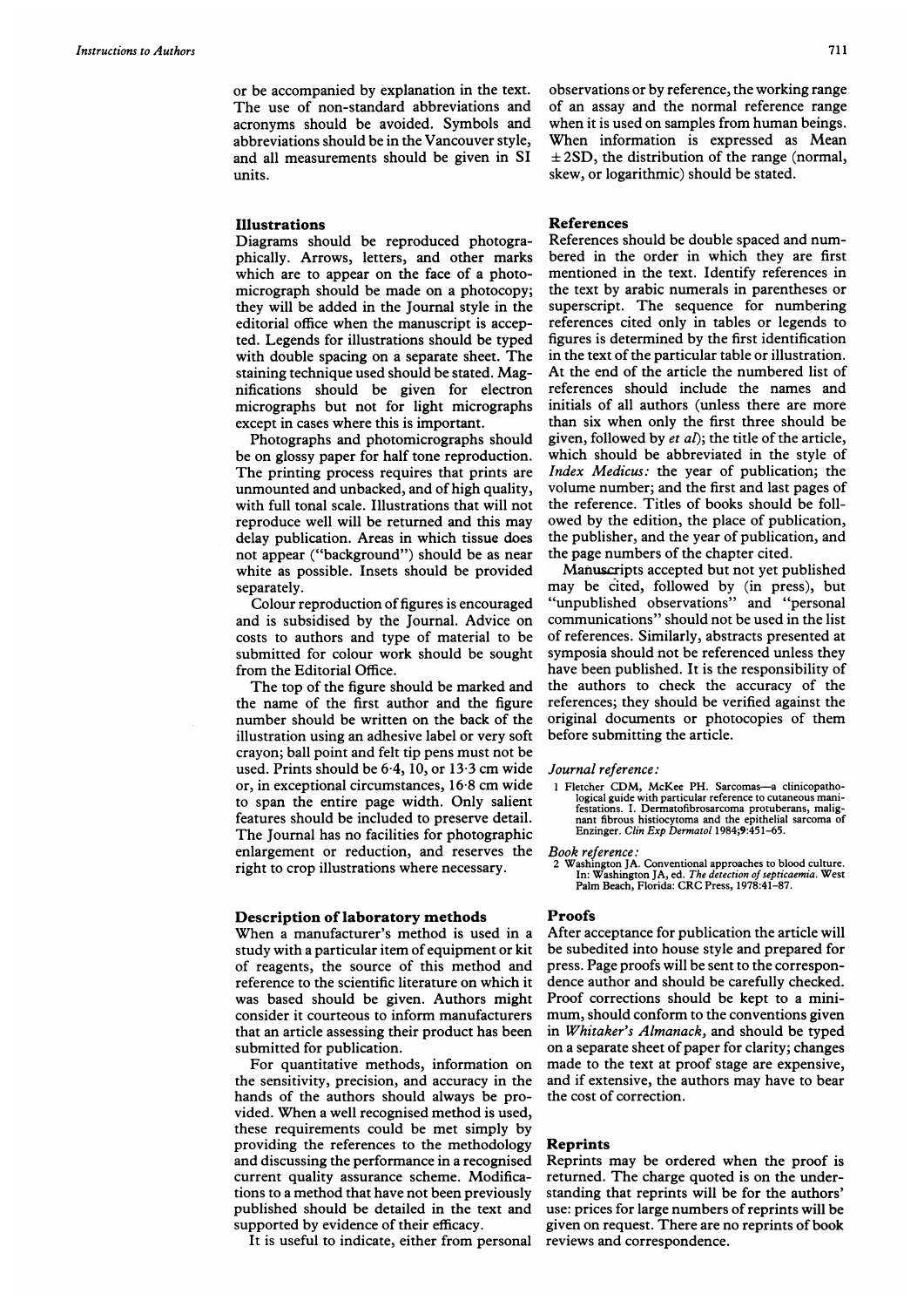or be accompanied by explanation in the text. The use of non-standard abbreviations and acronyms should be avoided. Symbols and abbreviations should be in the Vancouver style, and all measurements should be given in SI units.

#### Illustrations

Diagrams should be reproduced photographically. Arrows, letters, and other marks which are to appear on the face of a photomicrograph should be made on a photocopy; they will be added in the Journal style in the editorial office when the manuscript is accepted. Legends for illustrations should be typed with double spacing on a separate sheet. The staining technique used should be stated. Magnifications should be given for electron micrographs but not for light micrographs except in cases where this is important.

Photographs and photomicrographs should be on glossy paper for half tone reproduction. The printing process requires that prints are unmounted and unbacked, and of high quality, with full tonal scale. Illustrations that will not reproduce well will be returned and this may delay publication. Areas in which tissue does not appear ("background") should be as near white as possible. Insets should be provided separately.

Colour reproduction of figures is encouraged and is subsidised by the Journal. Advice on costs to authors and type of material to be submitted for colour work should be sought from the Editorial Office.

The top of the figure should be marked and the name of the first author and the figure number should be written on the back of the illustration using an adhesive label or very soft crayon; ball point and felt tip pens must not be used. Prints should be  $6.4$ , 10, or 13.3 cm wide or, in exceptional circumstances, 16 8 cm wide to span the entire page width. Only salient features should be included to preserve detail. The Journal has no facilities for photographic enlargement or reduction, and reserves the right to crop illustrations where necessary.

### Description of laboratory methods

When <sup>a</sup> manufacturer's method is used in <sup>a</sup> study with a particular item of equipment or kit of reagents, the source of this method and reference to the scientific literature on which it was based should be given. Authors might consider it courteous to inform manufacturers that an article assessing their product has been submitted for publication.

For quantitative methods, information on the sensitivity, precision, and accuracy in the hands of the authors should always be provided. When <sup>a</sup> well recognised method is used, these requirements could be met simply by providing the references to the methodology and discussing the performance in a recognised current quality assurance scheme. Modifications to a method that have not been previously published should be detailed in the text and supported by evidence of their efficacy.

It is useful to indicate, either from personal

observations or by reference, the working range of an assay and the normal reference range when it is used on samples from human beings. When information is expressed as Mean  $\pm 2SD$ , the distribution of the range (normal, skew, or logarithmic) should be stated.

# References

References should be double spaced and numbered in the order in which they are first mentioned in the text. Identify references in the text by arabic numerals in parentheses or superscript. The sequence for numbering references cited only in tables or legends to figures is determined by the first identification in the text of the particular table or illustration. At the end of the article the numbered list of references should include the names and initials of all authors (unless there are more than six when only the first three should be given, followed by *et al*); the title of the article, which should be abbreviated in the style of Index Medicus: the year of publication; the volume number; and the first and last pages of the reference. Titles of books should be followed by the edition, the place of publication, the publisher, and the year of publication, and the page numbers of the chapter cited.

Manuscripts accepted but not yet published may be cited, followed by (in press), but "unpublished observations" and "personal communications" should not be used in the list of references. Similarly, abstracts presented at symposia should not be referenced unless they have been published. It is the responsibility of the authors to check the accuracy of the references; they should be verified against the original documents or photocopies of them before submitting the article.

#### Journal reference:

1 Fletcher CDM, McKee PH. Sarcomas—a clinicopatho-<br>logical guide with particular reference to cutaneous mani-<br>festations. 1. Dermatofbrosarcoma protuberans, malig-<br>nant fibrous histocytoma and the epithelial sarcoma of<br>Enz

Book reference:

2 Washington JA. Conventional approaches to blood culture.<br>In: Washington JA, ed. The detection of septicaemia. West<br>Palm Beach, Florida: CRC Press, 1978:41–87.

#### **Proofs**

After acceptance for publication the article will be subedited into house style and prepared for press. Page proofs will be sent to the correspondence author and should be carefully checked. Proof corrections should be kept to a minimum, should conform to the conventions given in Whitaker's Almanack, and should be typed on a separate sheet of paper for clarity; changes made to the text at proof stage are expensive, and if extensive, the authors may have to bear the cost of correction.

# Reprints

Reprints may be ordered when the proof is returned. The charge quoted is on the understanding that reprints will be for the authors' use: prices for large numbers of reprints will be given on request. There are no reprints of book reviews and correspondence.